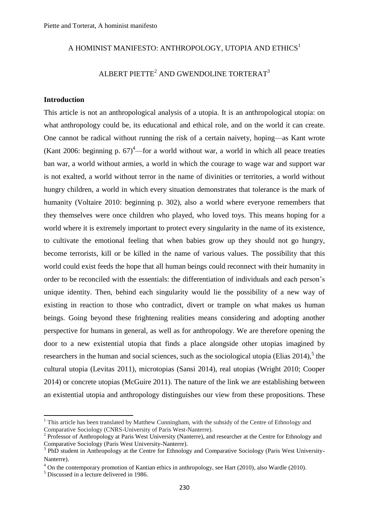# A HOMINIST MANIFESTO: ANTHROPOLOGY, UTOPIA AND ETHICS<sup>1</sup>

# ALBERT PIETTE<sup>2</sup> AND GWENDOLINE TORTERAT<sup>3</sup>

## **Introduction**

This article is not an anthropological analysis of a utopia. It is an anthropological utopia: on what anthropology could be, its educational and ethical role, and on the world it can create. One cannot be radical without running the risk of a certain naivety, hoping—as Kant wrote (Kant 2006: beginning p.  $67$ )<sup>4</sup>—for a world without war, a world in which all peace treaties ban war, a world without armies, a world in which the courage to wage war and support war is not exalted, a world without terror in the name of divinities or territories, a world without hungry children, a world in which every situation demonstrates that tolerance is the mark of humanity (Voltaire 2010: beginning p. 302), also a world where everyone remembers that they themselves were once children who played, who loved toys. This means hoping for a world where it is extremely important to protect every singularity in the name of its existence, to cultivate the emotional feeling that when babies grow up they should not go hungry, become terrorists, kill or be killed in the name of various values. The possibility that this world could exist feeds the hope that all human beings could reconnect with their humanity in order to be reconciled with the essentials: the differentiation of individuals and each person's unique identity. Then, behind each singularity would lie the possibility of a new way of existing in reaction to those who contradict, divert or trample on what makes us human beings. Going beyond these frightening realities means considering and adopting another perspective for humans in general, as well as for anthropology. We are therefore opening the door to a new existential utopia that finds a place alongside other utopias imagined by researchers in the human and social sciences, such as the sociological utopia (Elias  $2014$ ),  $5$  the cultural utopia (Levitas 2011), microtopias (Sansi 2014), real utopias (Wright 2010; Cooper 2014) or concrete utopias (McGuire 2011). The nature of the link we are establishing between an existential utopia and anthropology distinguishes our view from these propositions. These

**.** 

 $1$  This article has been translated by Matthew Cunningham, with the subsidy of the Centre of Ethnology and Comparative Sociology (CNRS-University of Paris West-Nanterre).

<sup>&</sup>lt;sup>2</sup> Professor of Anthropology at Paris West University (Nanterre), and researcher at the Centre for Ethnology and Comparative Sociology (Paris West University-Nanterre).

<sup>&</sup>lt;sup>3</sup> PhD student in Anthropology at the Centre for Ethnology and Comparative Sociology (Paris West University-Nanterre).

<sup>&</sup>lt;sup>4</sup> On the contemporary promotion of Kantian ethics in anthropology, see Hart (2010), also Wardle (2010).

<sup>&</sup>lt;sup>5</sup> Discussed in a lecture delivered in 1986.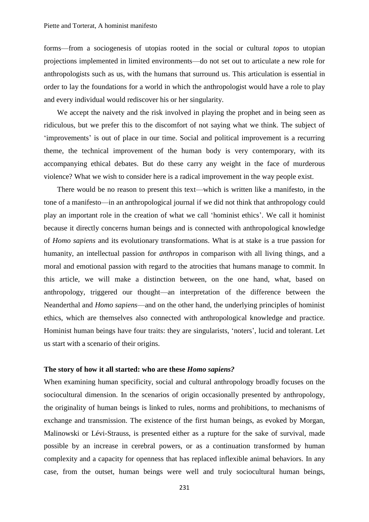forms—from a sociogenesis of utopias rooted in the social or cultural *topos* to utopian projections implemented in limited environments—do not set out to articulate a new role for anthropologists such as us, with the humans that surround us. This articulation is essential in order to lay the foundations for a world in which the anthropologist would have a role to play and every individual would rediscover his or her singularity.

We accept the naivety and the risk involved in playing the prophet and in being seen as ridiculous, but we prefer this to the discomfort of not saying what we think. The subject of 'improvements' is out of place in our time. Social and political improvement is a recurring theme, the technical improvement of the human body is very contemporary, with its accompanying ethical debates. But do these carry any weight in the face of murderous violence? What we wish to consider here is a radical improvement in the way people exist.

There would be no reason to present this text—which is written like a manifesto, in the tone of a manifesto—in an anthropological journal if we did not think that anthropology could play an important role in the creation of what we call 'hominist ethics'. We call it hominist because it directly concerns human beings and is connected with anthropological knowledge of *Homo sapiens* and its evolutionary transformations. What is at stake is a true passion for humanity, an intellectual passion for *anthropos* in comparison with all living things, and a moral and emotional passion with regard to the atrocities that humans manage to commit. In this article, we will make a distinction between, on the one hand, what, based on anthropology, triggered our thought—an interpretation of the difference between the Neanderthal and *Homo sapiens*—and on the other hand, the underlying principles of hominist ethics, which are themselves also connected with anthropological knowledge and practice. Hominist human beings have four traits: they are singularists, 'noters', lucid and tolerant. Let us start with a scenario of their origins.

#### **The story of how it all started: who are these** *Homo sapiens?*

When examining human specificity, social and cultural anthropology broadly focuses on the sociocultural dimension. In the scenarios of origin occasionally presented by anthropology, the originality of human beings is linked to rules, norms and prohibitions, to mechanisms of exchange and transmission. The existence of the first human beings, as evoked by Morgan, Malinowski or Lévi-Strauss, is presented either as a rupture for the sake of survival, made possible by an increase in cerebral powers, or as a continuation transformed by human complexity and a capacity for openness that has replaced inflexible animal behaviors. In any case, from the outset, human beings were well and truly sociocultural human beings,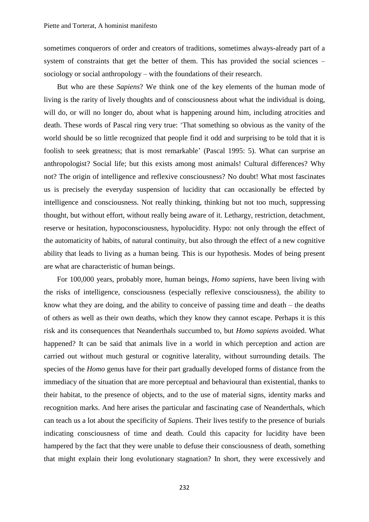sometimes conquerors of order and creators of traditions, sometimes always-already part of a system of constraints that get the better of them. This has provided the social sciences – sociology or social anthropology – with the foundations of their research.

But who are these *Sapiens*? We think one of the key elements of the human mode of living is the rarity of lively thoughts and of consciousness about what the individual is doing, will do, or will no longer do, about what is happening around him, including atrocities and death. These words of Pascal ring very true: 'That something so obvious as the vanity of the world should be so little recognized that people find it odd and surprising to be told that it is foolish to seek greatness; that is most remarkable' (Pascal 1995: 5). What can surprise an anthropologist? Social life; but this exists among most animals! Cultural differences? Why not? The origin of intelligence and reflexive consciousness? No doubt! What most fascinates us is precisely the everyday suspension of lucidity that can occasionally be effected by intelligence and consciousness. Not really thinking, thinking but not too much, suppressing thought, but without effort, without really being aware of it. Lethargy, restriction, detachment, reserve or hesitation, hypoconsciousness, hypolucidity. Hypo: not only through the effect of the automaticity of habits, of natural continuity, but also through the effect of a new cognitive ability that leads to living as a human being. This is our hypothesis. Modes of being present are what are characteristic of human beings.

For 100,000 years, probably more, human beings, *Homo sapiens,* have been living with the risks of intelligence, consciousness (especially reflexive consciousness), the ability to know what they are doing, and the ability to conceive of passing time and death – the deaths of others as well as their own deaths, which they know they cannot escape. Perhaps it is this risk and its consequences that Neanderthals succumbed to, but *Homo sapiens* avoided. What happened? It can be said that animals live in a world in which perception and action are carried out without much gestural or cognitive laterality, without surrounding details. The species of the *Homo* genus have for their part gradually developed forms of distance from the immediacy of the situation that are more perceptual and behavioural than existential, thanks to their habitat, to the presence of objects, and to the use of material signs, identity marks and recognition marks. And here arises the particular and fascinating case of Neanderthals, which can teach us a lot about the specificity of *Sapiens*. Their lives testify to the presence of burials indicating consciousness of time and death. Could this capacity for lucidity have been hampered by the fact that they were unable to defuse their consciousness of death, something that might explain their long evolutionary stagnation? In short, they were excessively and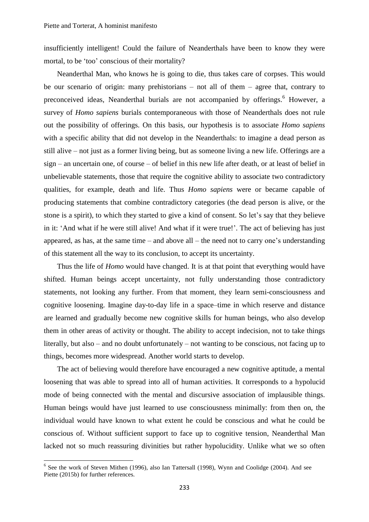insufficiently intelligent! Could the failure of Neanderthals have been to know they were mortal, to be 'too' conscious of their mortality?

Neanderthal Man, who knows he is going to die, thus takes care of corpses. This would be our scenario of origin: many prehistorians – not all of them – agree that, contrary to preconceived ideas, Neanderthal burials are not accompanied by offerings.<sup>6</sup> However, a survey of *Homo sapiens* burials contemporaneous with those of Neanderthals does not rule out the possibility of offerings. On this basis, our hypothesis is to associate *Homo sapiens* with a specific ability that did not develop in the Neanderthals: to imagine a dead person as still alive – not just as a former living being, but as someone living a new life. Offerings are a sign – an uncertain one, of course – of belief in this new life after death, or at least of belief in unbelievable statements, those that require the cognitive ability to associate two contradictory qualities, for example, death and life. Thus *Homo sapiens* were or became capable of producing statements that combine contradictory categories (the dead person is alive, or the stone is a spirit), to which they started to give a kind of consent. So let's say that they believe in it: 'And what if he were still alive! And what if it were true!'. The act of believing has just appeared, as has, at the same time – and above all – the need not to carry one's understanding of this statement all the way to its conclusion, to accept its uncertainty.

Thus the life of *Homo* would have changed. It is at that point that everything would have shifted. Human beings accept uncertainty, not fully understanding those contradictory statements, not looking any further. From that moment, they learn semi-consciousness and cognitive loosening. Imagine day-to-day life in a space–time in which reserve and distance are learned and gradually become new cognitive skills for human beings, who also develop them in other areas of activity or thought. The ability to accept indecision, not to take things literally, but also – and no doubt unfortunately – not wanting to be conscious, not facing up to things, becomes more widespread. Another world starts to develop.

The act of believing would therefore have encouraged a new cognitive aptitude, a mental loosening that was able to spread into all of human activities. It corresponds to a hypolucid mode of being connected with the mental and discursive association of implausible things. Human beings would have just learned to use consciousness minimally: from then on, the individual would have known to what extent he could be conscious and what he could be conscious of. Without sufficient support to face up to cognitive tension, Neanderthal Man lacked not so much reassuring divinities but rather hypolucidity. Unlike what we so often

1

<sup>&</sup>lt;sup>6</sup> See the work of Steven Mithen (1996), also Ian Tattersall (1998), Wynn and Coolidge (2004). And see Piette (2015b) for further references.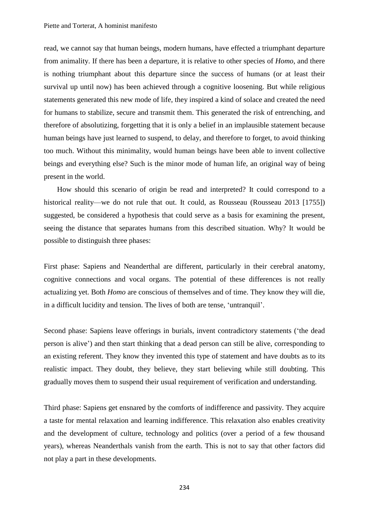read, we cannot say that human beings, modern humans, have effected a triumphant departure from animality. If there has been a departure, it is relative to other species of *Homo*, and there is nothing triumphant about this departure since the success of humans (or at least their survival up until now) has been achieved through a cognitive loosening. But while religious statements generated this new mode of life, they inspired a kind of solace and created the need for humans to stabilize, secure and transmit them. This generated the risk of entrenching, and therefore of absolutizing, forgetting that it is only a belief in an implausible statement because human beings have just learned to suspend, to delay, and therefore to forget, to avoid thinking too much. Without this minimality, would human beings have been able to invent collective beings and everything else? Such is the minor mode of human life, an original way of being present in the world.

How should this scenario of origin be read and interpreted? It could correspond to a historical reality—we do not rule that out. It could, as Rousseau (Rousseau 2013 [1755]) suggested, be considered a hypothesis that could serve as a basis for examining the present, seeing the distance that separates humans from this described situation. Why? It would be possible to distinguish three phases:

First phase: Sapiens and Neanderthal are different, particularly in their cerebral anatomy, cognitive connections and vocal organs. The potential of these differences is not really actualizing yet. Both *Homo* are conscious of themselves and of time. They know they will die, in a difficult lucidity and tension. The lives of both are tense, 'untranquil'.

Second phase: Sapiens leave offerings in burials, invent contradictory statements ('the dead person is alive') and then start thinking that a dead person can still be alive, corresponding to an existing referent. They know they invented this type of statement and have doubts as to its realistic impact. They doubt, they believe, they start believing while still doubting. This gradually moves them to suspend their usual requirement of verification and understanding.

Third phase: Sapiens get ensnared by the comforts of indifference and passivity. They acquire a taste for mental relaxation and learning indifference. This relaxation also enables creativity and the development of culture, technology and politics (over a period of a few thousand years), whereas Neanderthals vanish from the earth. This is not to say that other factors did not play a part in these developments.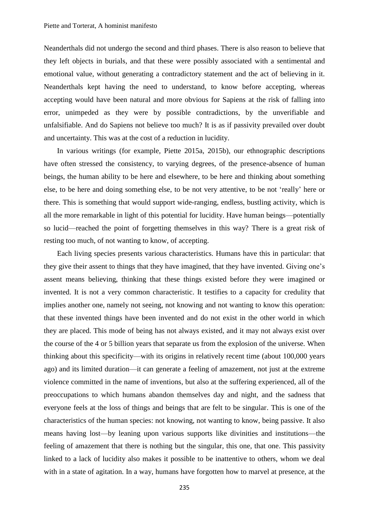Neanderthals did not undergo the second and third phases. There is also reason to believe that they left objects in burials, and that these were possibly associated with a sentimental and emotional value, without generating a contradictory statement and the act of believing in it. Neanderthals kept having the need to understand, to know before accepting, whereas accepting would have been natural and more obvious for Sapiens at the risk of falling into error, unimpeded as they were by possible contradictions, by the unverifiable and unfalsifiable. And do Sapiens not believe too much? It is as if passivity prevailed over doubt and uncertainty. This was at the cost of a reduction in lucidity.

In various writings (for example, Piette 2015a, 2015b), our ethnographic descriptions have often stressed the consistency, to varying degrees, of the presence-absence of human beings, the human ability to be here and elsewhere, to be here and thinking about something else, to be here and doing something else, to be not very attentive, to be not 'really' here or there. This is something that would support wide-ranging, endless, bustling activity, which is all the more remarkable in light of this potential for lucidity. Have human beings—potentially so lucid—reached the point of forgetting themselves in this way? There is a great risk of resting too much, of not wanting to know, of accepting.

Each living species presents various characteristics. Humans have this in particular: that they give their assent to things that they have imagined, that they have invented. Giving one's assent means believing, thinking that these things existed before they were imagined or invented. It is not a very common characteristic. It testifies to a capacity for credulity that implies another one, namely not seeing, not knowing and not wanting to know this operation: that these invented things have been invented and do not exist in the other world in which they are placed. This mode of being has not always existed, and it may not always exist over the course of the 4 or 5 billion years that separate us from the explosion of the universe. When thinking about this specificity—with its origins in relatively recent time (about 100,000 years ago) and its limited duration—it can generate a feeling of amazement, not just at the extreme violence committed in the name of inventions, but also at the suffering experienced, all of the preoccupations to which humans abandon themselves day and night, and the sadness that everyone feels at the loss of things and beings that are felt to be singular. This is one of the characteristics of the human species: not knowing, not wanting to know, being passive. It also means having lost—by leaning upon various supports like divinities and institutions—the feeling of amazement that there is nothing but the singular, this one, that one. This passivity linked to a lack of lucidity also makes it possible to be inattentive to others, whom we deal with in a state of agitation. In a way, humans have forgotten how to marvel at presence, at the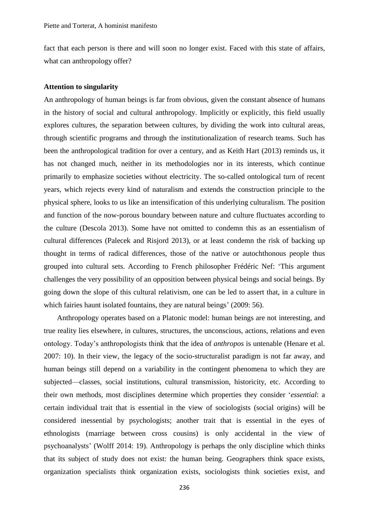fact that each person is there and will soon no longer exist. Faced with this state of affairs, what can anthropology offer?

### **Attention to singularity**

An anthropology of human beings is far from obvious, given the constant absence of humans in the history of social and cultural anthropology. Implicitly or explicitly, this field usually explores cultures, the separation between cultures, by dividing the work into cultural areas, through scientific programs and through the institutionalization of research teams. Such has been the anthropological tradition for over a century, and as Keith Hart (2013) reminds us, it has not changed much, neither in its methodologies nor in its interests, which continue primarily to emphasize societies without electricity. The so-called ontological turn of recent years, which rejects every kind of naturalism and extends the construction principle to the physical sphere, looks to us like an intensification of this underlying culturalism. The position and function of the now-porous boundary between nature and culture fluctuates according to the culture (Descola 2013). Some have not omitted to condemn this as an essentialism of cultural differences (Palecek and Risjord 2013), or at least condemn the risk of backing up thought in terms of radical differences, those of the native or autochthonous people thus grouped into cultural sets. According to French philosopher Frédéric Nef: 'This argument challenges the very possibility of an opposition between physical beings and social beings. By going down the slope of this cultural relativism, one can be led to assert that, in a culture in which fairies haunt isolated fountains, they are natural beings' (2009: 56).

Anthropology operates based on a Platonic model: human beings are not interesting, and true reality lies elsewhere, in cultures, structures, the unconscious, actions, relations and even ontology. Today's anthropologists think that the idea of *anthropos* is untenable (Henare et al. 2007: 10). In their view, the legacy of the socio-structuralist paradigm is not far away, and human beings still depend on a variability in the contingent phenomena to which they are subjected—classes, social institutions, cultural transmission, historicity, etc. According to their own methods, most disciplines determine which properties they consider '*essential*: a certain individual trait that is essential in the view of sociologists (social origins) will be considered inessential by psychologists; another trait that is essential in the eyes of ethnologists (marriage between cross cousins) is only accidental in the view of psychoanalysts' (Wolff 2014: 19). Anthropology is perhaps the only discipline which thinks that its subject of study does not exist: the human being. Geographers think space exists, organization specialists think organization exists, sociologists think societies exist, and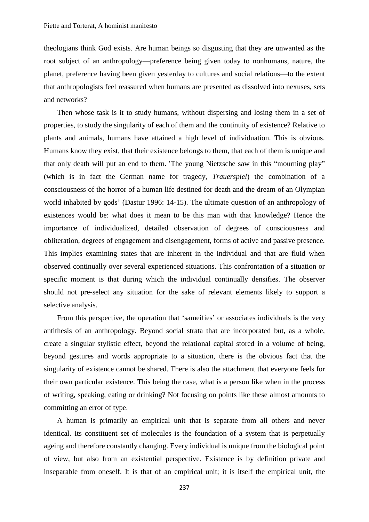theologians think God exists. Are human beings so disgusting that they are unwanted as the root subject of an anthropology—preference being given today to nonhumans, nature, the planet, preference having been given yesterday to cultures and social relations—to the extent that anthropologists feel reassured when humans are presented as dissolved into nexuses, sets and networks?

Then whose task is it to study humans, without dispersing and losing them in a set of properties, to study the singularity of each of them and the continuity of existence? Relative to plants and animals, humans have attained a high level of individuation. This is obvious. Humans know they exist, that their existence belongs to them, that each of them is unique and that only death will put an end to them. 'The young Nietzsche saw in this "mourning play" (which is in fact the German name for tragedy, *Trauerspiel*) the combination of a consciousness of the horror of a human life destined for death and the dream of an Olympian world inhabited by gods' (Dastur 1996: 14-15). The ultimate question of an anthropology of existences would be: what does it mean to be this man with that knowledge? Hence the importance of individualized, detailed observation of degrees of consciousness and obliteration, degrees of engagement and disengagement, forms of active and passive presence. This implies examining states that are inherent in the individual and that are fluid when observed continually over several experienced situations. This confrontation of a situation or specific moment is that during which the individual continually densifies. The observer should not pre-select any situation for the sake of relevant elements likely to support a selective analysis.

From this perspective, the operation that 'sameifies' or associates individuals is the very antithesis of an anthropology. Beyond social strata that are incorporated but, as a whole, create a singular stylistic effect, beyond the relational capital stored in a volume of being, beyond gestures and words appropriate to a situation, there is the obvious fact that the singularity of existence cannot be shared. There is also the attachment that everyone feels for their own particular existence. This being the case, what is a person like when in the process of writing, speaking, eating or drinking? Not focusing on points like these almost amounts to committing an error of type.

A human is primarily an empirical unit that is separate from all others and never identical. Its constituent set of molecules is the foundation of a system that is perpetually ageing and therefore constantly changing. Every individual is unique from the biological point of view, but also from an existential perspective. Existence is by definition private and inseparable from oneself. It is that of an empirical unit; it is itself the empirical unit, the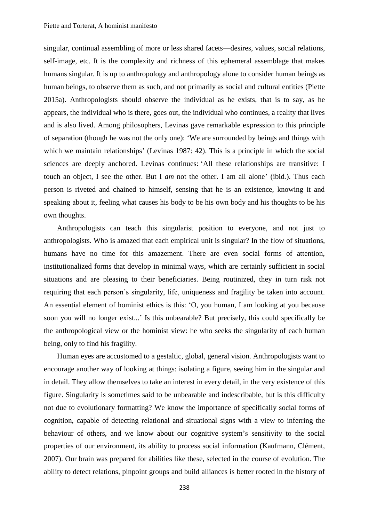singular, continual assembling of more or less shared facets—desires, values, social relations, self-image, etc. It is the complexity and richness of this ephemeral assemblage that makes humans singular. It is up to anthropology and anthropology alone to consider human beings as human beings, to observe them as such, and not primarily as social and cultural entities (Piette 2015a). Anthropologists should observe the individual as he exists, that is to say, as he appears, the individual who is there, goes out, the individual who continues, a reality that lives and is also lived. Among philosophers, Levinas gave remarkable expression to this principle of separation (though he was not the only one): 'We are surrounded by beings and things with which we maintain relationships' (Levinas 1987: 42). This is a principle in which the social sciences are deeply anchored. Levinas continues: 'All these relationships are transitive: I touch an object, I see the other. But I *am* not the other. I am all alone' (ibid*.*). Thus each person is riveted and chained to himself, sensing that he is an existence, knowing it and speaking about it, feeling what causes his body to be his own body and his thoughts to be his own thoughts.

Anthropologists can teach this singularist position to everyone, and not just to anthropologists. Who is amazed that each empirical unit is singular? In the flow of situations, humans have no time for this amazement. There are even social forms of attention, institutionalized forms that develop in minimal ways, which are certainly sufficient in social situations and are pleasing to their beneficiaries. Being routinized, they in turn risk not requiring that each person's singularity, life, uniqueness and fragility be taken into account. An essential element of hominist ethics is this: 'O, you human, I am looking at you because soon you will no longer exist...' Is this unbearable? But precisely, this could specifically be the anthropological view or the hominist view: he who seeks the singularity of each human being, only to find his fragility.

Human eyes are accustomed to a gestaltic, global, general vision. Anthropologists want to encourage another way of looking at things: isolating a figure, seeing him in the singular and in detail. They allow themselves to take an interest in every detail, in the very existence of this figure. Singularity is sometimes said to be unbearable and indescribable, but is this difficulty not due to evolutionary formatting? We know the importance of specifically social forms of cognition, capable of detecting relational and situational signs with a view to inferring the behaviour of others, and we know about our cognitive system's sensitivity to the social properties of our environment, its ability to process social information (Kaufmann, Clément, 2007). Our brain was prepared for abilities like these, selected in the course of evolution. The ability to detect relations, pinpoint groups and build alliances is better rooted in the history of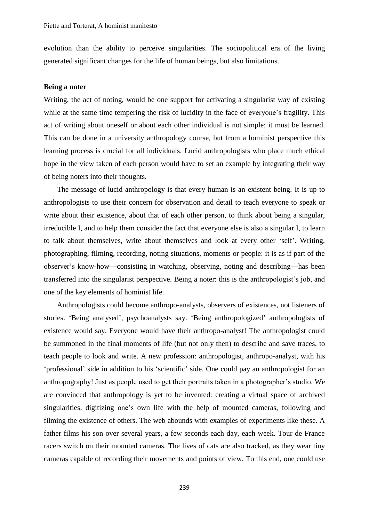evolution than the ability to perceive singularities. The sociopolitical era of the living generated significant changes for the life of human beings, but also limitations.

### **Being a noter**

Writing, the act of noting, would be one support for activating a singularist way of existing while at the same time tempering the risk of lucidity in the face of everyone's fragility. This act of writing about oneself or about each other individual is not simple: it must be learned. This can be done in a university anthropology course, but from a hominist perspective this learning process is crucial for all individuals. Lucid anthropologists who place much ethical hope in the view taken of each person would have to set an example by integrating their way of being noters into their thoughts.

The message of lucid anthropology is that every human is an existent being. It is up to anthropologists to use their concern for observation and detail to teach everyone to speak or write about their existence, about that of each other person, to think about being a singular, irreducible I, and to help them consider the fact that everyone else is also a singular I, to learn to talk about themselves, write about themselves and look at every other 'self'. Writing, photographing, filming, recording, noting situations, moments or people: it is as if part of the observer's know-how—consisting in watching, observing, noting and describing—has been transferred into the singularist perspective. Being a noter: this is the anthropologist's job, and one of the key elements of hominist life.

Anthropologists could become anthropo-analysts, observers of existences, not listeners of stories. 'Being analysed', psychoanalysts say. 'Being anthropologized' anthropologists of existence would say. Everyone would have their anthropo-analyst! The anthropologist could be summoned in the final moments of life (but not only then) to describe and save traces, to teach people to look and write. A new profession: anthropologist, anthropo-analyst, with his 'professional' side in addition to his 'scientific' side. One could pay an anthropologist for an anthropography! Just as people used to get their portraits taken in a photographer's studio. We are convinced that anthropology is yet to be invented: creating a virtual space of archived singularities, digitizing one's own life with the help of mounted cameras, following and filming the existence of others. The web abounds with examples of experiments like these. A father films his son over several years, a few seconds each day, each week. Tour de France racers switch on their mounted cameras. The lives of cats are also tracked, as they wear tiny cameras capable of recording their movements and points of view. To this end, one could use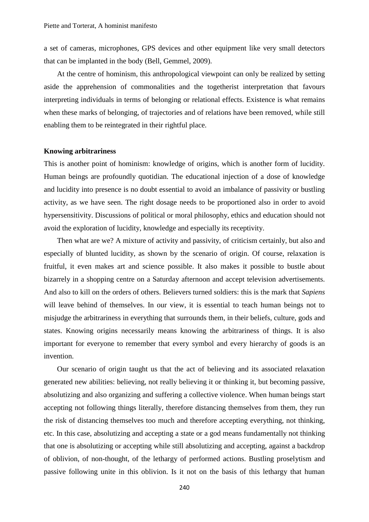a set of cameras, microphones, GPS devices and other equipment like very small detectors that can be implanted in the body (Bell, Gemmel, 2009).

At the centre of hominism, this anthropological viewpoint can only be realized by setting aside the apprehension of commonalities and the togetherist interpretation that favours interpreting individuals in terms of belonging or relational effects. Existence is what remains when these marks of belonging, of trajectories and of relations have been removed, while still enabling them to be reintegrated in their rightful place.

### **Knowing arbitrariness**

This is another point of hominism: knowledge of origins, which is another form of lucidity. Human beings are profoundly quotidian. The educational injection of a dose of knowledge and lucidity into presence is no doubt essential to avoid an imbalance of passivity or bustling activity, as we have seen. The right dosage needs to be proportioned also in order to avoid hypersensitivity. Discussions of political or moral philosophy, ethics and education should not avoid the exploration of lucidity, knowledge and especially its receptivity.

Then what are we? A mixture of activity and passivity, of criticism certainly, but also and especially of blunted lucidity, as shown by the scenario of origin. Of course, relaxation is fruitful, it even makes art and science possible. It also makes it possible to bustle about bizarrely in a shopping centre on a Saturday afternoon and accept television advertisements. And also to kill on the orders of others. Believers turned soldiers: this is the mark that *Sapiens* will leave behind of themselves. In our view, it is essential to teach human beings not to misjudge the arbitrariness in everything that surrounds them, in their beliefs, culture, gods and states. Knowing origins necessarily means knowing the arbitrariness of things. It is also important for everyone to remember that every symbol and every hierarchy of goods is an invention.

Our scenario of origin taught us that the act of believing and its associated relaxation generated new abilities: believing, not really believing it or thinking it, but becoming passive, absolutizing and also organizing and suffering a collective violence. When human beings start accepting not following things literally, therefore distancing themselves from them, they run the risk of distancing themselves too much and therefore accepting everything, not thinking, etc. In this case, absolutizing and accepting a state or a god means fundamentally not thinking that one is absolutizing or accepting while still absolutizing and accepting, against a backdrop of oblivion, of non-thought, of the lethargy of performed actions. Bustling proselytism and passive following unite in this oblivion. Is it not on the basis of this lethargy that human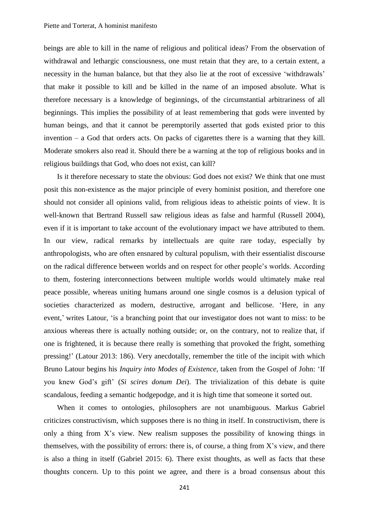beings are able to kill in the name of religious and political ideas? From the observation of withdrawal and lethargic consciousness, one must retain that they are, to a certain extent, a necessity in the human balance, but that they also lie at the root of excessive 'withdrawals' that make it possible to kill and be killed in the name of an imposed absolute. What is therefore necessary is a knowledge of beginnings, of the circumstantial arbitrariness of all beginnings. This implies the possibility of at least remembering that gods were invented by human beings, and that it cannot be peremptorily asserted that gods existed prior to this invention – a God that orders acts. On packs of cigarettes there is a warning that they kill. Moderate smokers also read it. Should there be a warning at the top of religious books and in religious buildings that God, who does not exist, can kill?

Is it therefore necessary to state the obvious: God does not exist? We think that one must posit this non-existence as the major principle of every hominist position, and therefore one should not consider all opinions valid, from religious ideas to atheistic points of view. It is well-known that Bertrand Russell saw religious ideas as false and harmful (Russell 2004), even if it is important to take account of the evolutionary impact we have attributed to them. In our view, radical remarks by intellectuals are quite rare today, especially by anthropologists, who are often ensnared by cultural populism, with their essentialist discourse on the radical difference between worlds and on respect for other people's worlds. According to them, fostering interconnections between multiple worlds would ultimately make real peace possible, whereas uniting humans around one single cosmos is a delusion typical of societies characterized as modern, destructive, arrogant and bellicose. 'Here, in any event,' writes Latour, 'is a branching point that our investigator does not want to miss: to be anxious whereas there is actually nothing outside; or, on the contrary, not to realize that, if one is frightened, it is because there really is something that provoked the fright, something pressing!' (Latour 2013: 186). Very anecdotally, remember the title of the incipit with which Bruno Latour begins his *Inquiry into Modes of Existence*, taken from the Gospel of John: 'If you knew God's gift' (*Si scires donum Dei*). The trivialization of this debate is quite scandalous, feeding a semantic hodgepodge, and it is high time that someone it sorted out.

When it comes to ontologies, philosophers are not unambiguous. Markus Gabriel criticizes constructivism, which supposes there is no thing in itself. In constructivism, there is only a thing from X's view. New realism supposes the possibility of knowing things in themselves, with the possibility of errors: there is, of course, a thing from X's view, and there is also a thing in itself (Gabriel 2015: 6). There exist thoughts, as well as facts that these thoughts concern. Up to this point we agree, and there is a broad consensus about this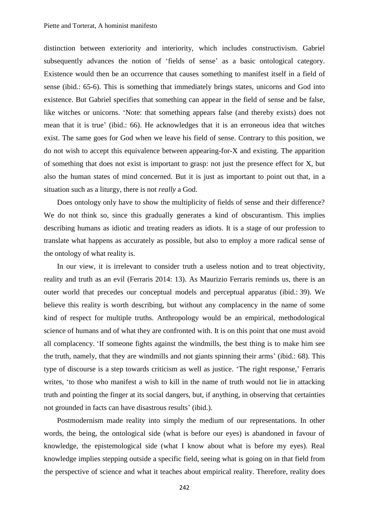distinction between exteriority and interiority, which includes constructivism. Gabriel subsequently advances the notion of 'fields of sense' as a basic ontological category. Existence would then be an occurrence that causes something to manifest itself in a field of sense (ibid.: 65-6). This is something that immediately brings states, unicorns and God into existence. But Gabriel specifies that something can appear in the field of sense and be false, like witches or unicorns. 'Note: that something appears false (and thereby exists) does not mean that it is true' (ibid.: 66). He acknowledges that it is an erroneous idea that witches exist. The same goes for God when we leave his field of sense. Contrary to this position, we do not wish to accept this equivalence between appearing-for-X and existing. The apparition of something that does not exist is important to grasp: not just the presence effect for X, but also the human states of mind concerned. But it is just as important to point out that, in a situation such as a liturgy, there is not *really* a God.

Does ontology only have to show the multiplicity of fields of sense and their difference? We do not think so, since this gradually generates a kind of obscurantism. This implies describing humans as idiotic and treating readers as idiots. It is a stage of our profession to translate what happens as accurately as possible, but also to employ a more radical sense of the ontology of what reality is.

In our view, it is irrelevant to consider truth a useless notion and to treat objectivity, reality and truth as an evil (Ferraris 2014: 13). As Maurizio Ferraris reminds us, there is an outer world that precedes our conceptual models and perceptual apparatus (ibid.: 39). We believe this reality is worth describing, but without any complacency in the name of some kind of respect for multiple truths. Anthropology would be an empirical, methodological science of humans and of what they are confronted with. It is on this point that one must avoid all complacency. 'If someone fights against the windmills, the best thing is to make him see the truth, namely, that they are windmills and not giants spinning their arms' (ibid.: 68). This type of discourse is a step towards criticism as well as justice. 'The right response,' Ferraris writes, 'to those who manifest a wish to kill in the name of truth would not lie in attacking truth and pointing the finger at its social dangers, but, if anything, in observing that certainties not grounded in facts can have disastrous results' (ibid.).

Postmodernism made reality into simply the medium of our representations. In other words, the being, the ontological side (what is before our eyes) is abandoned in favour of knowledge, the epistemological side (what I know about what is before my eyes). Real knowledge implies stepping outside a specific field, seeing what is going on in that field from the perspective of science and what it teaches about empirical reality. Therefore, reality does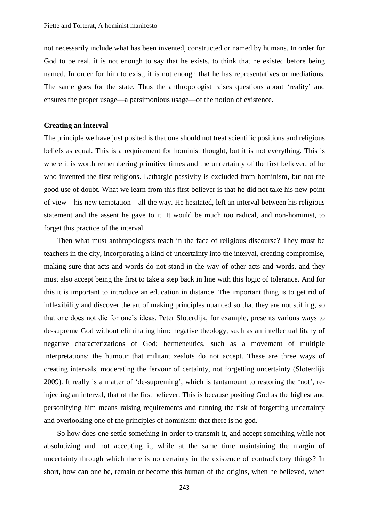not necessarily include what has been invented, constructed or named by humans. In order for God to be real, it is not enough to say that he exists, to think that he existed before being named. In order for him to exist, it is not enough that he has representatives or mediations. The same goes for the state. Thus the anthropologist raises questions about 'reality' and ensures the proper usage—a parsimonious usage—of the notion of existence.

#### **Creating an interval**

The principle we have just posited is that one should not treat scientific positions and religious beliefs as equal. This is a requirement for hominist thought, but it is not everything. This is where it is worth remembering primitive times and the uncertainty of the first believer, of he who invented the first religions. Lethargic passivity is excluded from hominism, but not the good use of doubt. What we learn from this first believer is that he did not take his new point of view—his new temptation—all the way. He hesitated, left an interval between his religious statement and the assent he gave to it. It would be much too radical, and non-hominist, to forget this practice of the interval.

Then what must anthropologists teach in the face of religious discourse? They must be teachers in the city, incorporating a kind of uncertainty into the interval, creating compromise, making sure that acts and words do not stand in the way of other acts and words, and they must also accept being the first to take a step back in line with this logic of tolerance. And for this it is important to introduce an education in distance. The important thing is to get rid of inflexibility and discover the art of making principles nuanced so that they are not stifling, so that one does not die for one's ideas. Peter Sloterdijk, for example, presents various ways to de-supreme God without eliminating him: negative theology, such as an intellectual litany of negative characterizations of God; hermeneutics, such as a movement of multiple interpretations; the humour that militant zealots do not accept. These are three ways of creating intervals, moderating the fervour of certainty, not forgetting uncertainty (Sloterdijk 2009). It really is a matter of 'de-supreming', which is tantamount to restoring the 'not', reinjecting an interval, that of the first believer. This is because positing God as the highest and personifying him means raising requirements and running the risk of forgetting uncertainty and overlooking one of the principles of hominism: that there is no god.

So how does one settle something in order to transmit it, and accept something while not absolutizing and not accepting it, while at the same time maintaining the margin of uncertainty through which there is no certainty in the existence of contradictory things? In short, how can one be, remain or become this human of the origins, when he believed, when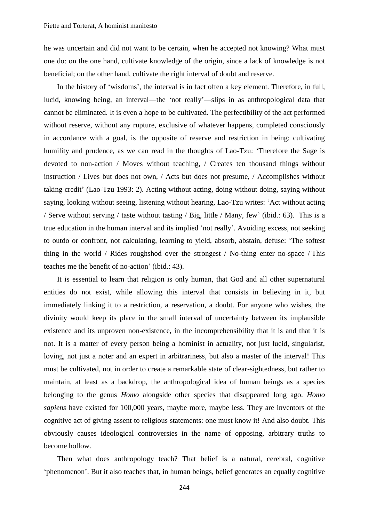he was uncertain and did not want to be certain, when he accepted not knowing? What must one do: on the one hand, cultivate knowledge of the origin, since a lack of knowledge is not beneficial; on the other hand, cultivate the right interval of doubt and reserve.

In the history of 'wisdoms', the interval is in fact often a key element. Therefore, in full, lucid, knowing being, an interval—the 'not really'—slips in as anthropological data that cannot be eliminated. It is even a hope to be cultivated. The perfectibility of the act performed without reserve, without any rupture, exclusive of whatever happens, completed consciously in accordance with a goal, is the opposite of reserve and restriction in being: cultivating humility and prudence, as we can read in the thoughts of Lao-Tzu: 'Therefore the Sage is devoted to non-action / Moves without teaching, / Creates ten thousand things without instruction / Lives but does not own, / Acts but does not presume, / Accomplishes without taking credit' (Lao-Tzu 1993: 2). Acting without acting, doing without doing, saying without saying, looking without seeing, listening without hearing, Lao-Tzu writes: 'Act without acting / Serve without serving / taste without tasting / Big, little / Many, few' (ibid.: 63). This is a true education in the human interval and its implied 'not really'. Avoiding excess, not seeking to outdo or confront, not calculating, learning to yield, absorb, abstain, defuse: 'The softest thing in the world / Rides roughshod over the strongest / No-thing enter no-space / This teaches me the benefit of no-action' (ibid.: 43).

It is essential to learn that religion is only human, that God and all other supernatural entities do not exist, while allowing this interval that consists in believing in it, but immediately linking it to a restriction, a reservation, a doubt. For anyone who wishes, the divinity would keep its place in the small interval of uncertainty between its implausible existence and its unproven non-existence, in the incomprehensibility that it is and that it is not. It is a matter of every person being a hominist in actuality, not just lucid, singularist, loving, not just a noter and an expert in arbitrariness, but also a master of the interval! This must be cultivated, not in order to create a remarkable state of clear-sightedness, but rather to maintain, at least as a backdrop, the anthropological idea of human beings as a species belonging to the genus *Homo* alongside other species that disappeared long ago. *Homo sapiens* have existed for 100,000 years, maybe more, maybe less. They are inventors of the cognitive act of giving assent to religious statements: one must know it! And also doubt. This obviously causes ideological controversies in the name of opposing, arbitrary truths to become hollow.

Then what does anthropology teach? That belief is a natural, cerebral, cognitive 'phenomenon'. But it also teaches that, in human beings, belief generates an equally cognitive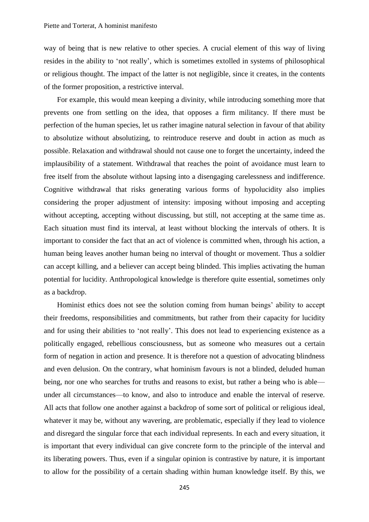way of being that is new relative to other species. A crucial element of this way of living resides in the ability to 'not really', which is sometimes extolled in systems of philosophical or religious thought. The impact of the latter is not negligible, since it creates, in the contents of the former proposition, a restrictive interval.

For example, this would mean keeping a divinity, while introducing something more that prevents one from settling on the idea, that opposes a firm militancy. If there must be perfection of the human species, let us rather imagine natural selection in favour of that ability to absolutize without absolutizing, to reintroduce reserve and doubt in action as much as possible. Relaxation and withdrawal should not cause one to forget the uncertainty, indeed the implausibility of a statement. Withdrawal that reaches the point of avoidance must learn to free itself from the absolute without lapsing into a disengaging carelessness and indifference. Cognitive withdrawal that risks generating various forms of hypolucidity also implies considering the proper adjustment of intensity: imposing without imposing and accepting without accepting, accepting without discussing, but still, not accepting at the same time as. Each situation must find its interval, at least without blocking the intervals of others. It is important to consider the fact that an act of violence is committed when, through his action, a human being leaves another human being no interval of thought or movement. Thus a soldier can accept killing, and a believer can accept being blinded. This implies activating the human potential for lucidity. Anthropological knowledge is therefore quite essential, sometimes only as a backdrop.

Hominist ethics does not see the solution coming from human beings' ability to accept their freedoms, responsibilities and commitments, but rather from their capacity for lucidity and for using their abilities to 'not really'. This does not lead to experiencing existence as a politically engaged, rebellious consciousness, but as someone who measures out a certain form of negation in action and presence. It is therefore not a question of advocating blindness and even delusion. On the contrary, what hominism favours is not a blinded, deluded human being, nor one who searches for truths and reasons to exist, but rather a being who is able under all circumstances—to know, and also to introduce and enable the interval of reserve. All acts that follow one another against a backdrop of some sort of political or religious ideal, whatever it may be, without any wavering, are problematic, especially if they lead to violence and disregard the singular force that each individual represents. In each and every situation, it is important that every individual can give concrete form to the principle of the interval and its liberating powers. Thus, even if a singular opinion is contrastive by nature, it is important to allow for the possibility of a certain shading within human knowledge itself. By this, we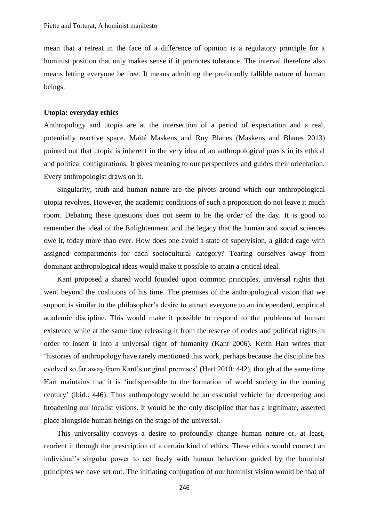mean that a retreat in the face of a difference of opinion is a regulatory principle for a hominist position that only makes sense if it promotes tolerance. The interval therefore also means letting everyone be free. It means admitting the profoundly fallible nature of human beings.

## **Utopia: everyday ethics**

Anthropology and utopia are at the intersection of a period of expectation and a real, potentially reactive space. Maïté Maskens and Ruy Blanes (Maskens and Blanes 2013) pointed out that utopia is inherent in the very idea of an anthropological praxis in its ethical and political configurations. It gives meaning to our perspectives and guides their orientation. Every anthropologist draws on it.

Singularity, truth and human nature are the pivots around which our anthropological utopia revolves. However, the academic conditions of such a proposition do not leave it much room. Debating these questions does not seem to be the order of the day. It is good to remember the ideal of the Enlightenment and the legacy that the human and social sciences owe it, today more than ever. How does one avoid a state of supervision, a gilded cage with assigned compartments for each sociocultural category? Tearing ourselves away from dominant anthropological ideas would make it possible to attain a critical ideal.

Kant proposed a shared world founded upon common principles, universal rights that went beyond the coalitions of his time. The premises of the anthropological vision that we support is similar to the philosopher's desire to attract everyone to an independent, empirical academic discipline. This would make it possible to respond to the problems of human existence while at the same time releasing it from the reserve of codes and political rights in order to insert it into a universal right of humanity (Kant 2006). Keith Hart writes that 'histories of anthropology have rarely mentioned this work, perhaps because the discipline has evolved so far away from Kant's original premises' (Hart 2010: 442), though at the same time Hart maintains that it is 'indispensable to the formation of world society in the coming century' (ibid.: 446). Thus anthropology would be an essential vehicle for decentering and broadening our localist visions. It would be the only discipline that has a legitimate, asserted place alongside human beings on the stage of the universal.

This universality conveys a desire to profoundly change human nature or, at least, reorient it through the prescription of a certain kind of ethics. These ethics would connect an individual's singular power to act freely with human behaviour guided by the hominist principles we have set out. The initiating conjugation of our hominist vision would be that of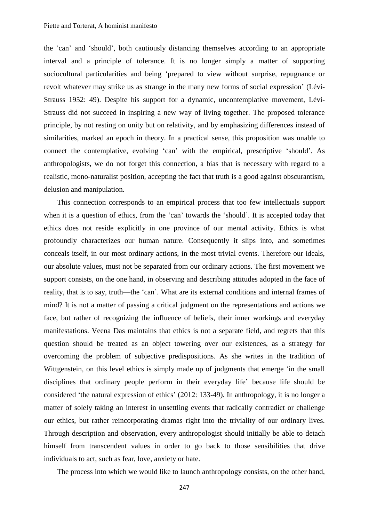#### Piette and Torterat, A hominist manifesto

the 'can' and 'should', both cautiously distancing themselves according to an appropriate interval and a principle of tolerance. It is no longer simply a matter of supporting sociocultural particularities and being 'prepared to view without surprise, repugnance or revolt whatever may strike us as strange in the many new forms of social expression' (Lévi-Strauss 1952: 49). Despite his support for a dynamic, uncontemplative movement, Lévi-Strauss did not succeed in inspiring a new way of living together. The proposed tolerance principle, by not resting on unity but on relativity, and by emphasizing differences instead of similarities, marked an epoch in theory. In a practical sense, this proposition was unable to connect the contemplative, evolving 'can' with the empirical, prescriptive 'should'. As anthropologists, we do not forget this connection, a bias that is necessary with regard to a realistic, mono-naturalist position, accepting the fact that truth is a good against obscurantism, delusion and manipulation.

This connection corresponds to an empirical process that too few intellectuals support when it is a question of ethics, from the 'can' towards the 'should'. It is accepted today that ethics does not reside explicitly in one province of our mental activity. Ethics is what profoundly characterizes our human nature. Consequently it slips into, and sometimes conceals itself, in our most ordinary actions, in the most trivial events. Therefore our ideals, our absolute values, must not be separated from our ordinary actions. The first movement we support consists, on the one hand, in observing and describing attitudes adopted in the face of reality, that is to say, truth—the 'can'. What are its external conditions and internal frames of mind? It is not a matter of passing a critical judgment on the representations and actions we face, but rather of recognizing the influence of beliefs, their inner workings and everyday manifestations. Veena Das maintains that ethics is not a separate field, and regrets that this question should be treated as an object towering over our existences, as a strategy for overcoming the problem of subjective predispositions. As she writes in the tradition of Wittgenstein, on this level ethics is simply made up of judgments that emerge 'in the small disciplines that ordinary people perform in their everyday life' because life should be considered 'the natural expression of ethics' (2012: 133-49). In anthropology, it is no longer a matter of solely taking an interest in unsettling events that radically contradict or challenge our ethics, but rather reincorporating dramas right into the triviality of our ordinary lives. Through description and observation, every anthropologist should initially be able to detach himself from transcendent values in order to go back to those sensibilities that drive individuals to act, such as fear, love, anxiety or hate.

The process into which we would like to launch anthropology consists, on the other hand,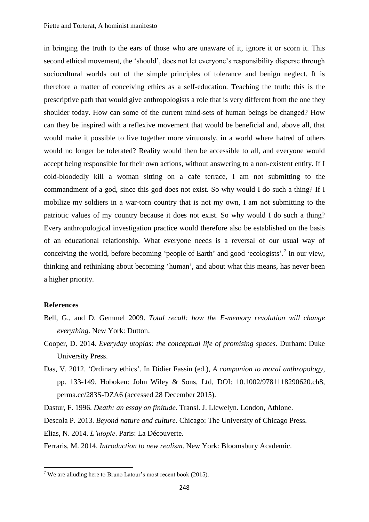in bringing the truth to the ears of those who are unaware of it, ignore it or scorn it. This second ethical movement, the 'should', does not let everyone's responsibility disperse through sociocultural worlds out of the simple principles of tolerance and benign neglect. It is therefore a matter of conceiving ethics as a self-education. Teaching the truth: this is the prescriptive path that would give anthropologists a role that is very different from the one they shoulder today. How can some of the current mind-sets of human beings be changed? How can they be inspired with a reflexive movement that would be beneficial and, above all, that would make it possible to live together more virtuously, in a world where hatred of others would no longer be tolerated? Reality would then be accessible to all, and everyone would accept being responsible for their own actions, without answering to a non-existent entity. If I cold-bloodedly kill a woman sitting on a cafe terrace, I am not submitting to the commandment of a god, since this god does not exist. So why would I do such a thing? If I mobilize my soldiers in a war-torn country that is not my own, I am not submitting to the patriotic values of my country because it does not exist. So why would I do such a thing? Every anthropological investigation practice would therefore also be established on the basis of an educational relationship. What everyone needs is a reversal of our usual way of conceiving the world, before becoming 'people of Earth' and good 'ecologists'.<sup>7</sup> In our view, thinking and rethinking about becoming 'human', and about what this means, has never been a higher priority.

## **References**

**.** 

- Bell, G., and D. Gemmel 2009. *Total recall: how the E-memory revolution will change everything*. New York: Dutton.
- Cooper, D. 2014. *Everyday utopias: the conceptual life of promising spaces*. Durham: Duke University Press.
- Das, V. 2012. 'Ordinary ethics'. In Didier Fassin (ed.), *A companion to moral anthropology*, pp. 133-149. Hoboken: John Wiley & Sons, Ltd, DOI: 10.1002/9781118290620.ch8, perma.cc/283S-DZA6 (accessed 28 December 2015).

Dastur, F. 1996. *Death: an essay on finitude*. Transl. J. Llewelyn. London, Athlone.

Descola P. 2013. *Beyond nature and culture*. Chicago: The University of Chicago Press.

Elias, N. 2014. *L'utopie*. Paris: La Découverte.

Ferraris, M. 2014. *Introduction to new realism*. New York: Bloomsbury Academic.

<sup>&</sup>lt;sup>7</sup> We are alluding here to Bruno Latour's most recent book (2015).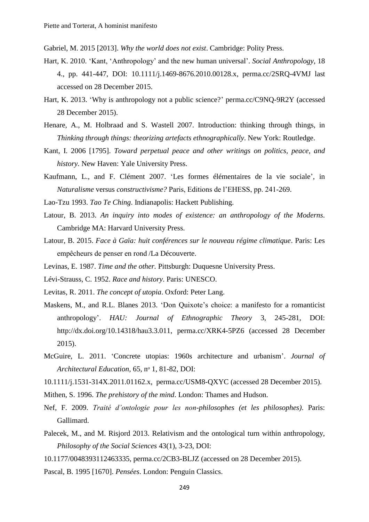Gabriel, M. 2015 [2013]. *Why the world does not exist*. Cambridge: Polity Press.

- Hart, K. 2010. 'Kant, 'Anthropology' and the new human universal'. *Social Anthropology*, 18 4., pp. 441-447, DOI: 10.1111/j.1469-8676.2010.00128.x, perma.cc/2SRQ-4VMJ last accessed on 28 December 2015.
- Hart, K. 2013. 'Why is anthropology not a public science?' perma.cc/C9NQ-9R2Y (accessed 28 December 2015).
- Henare, A., M. Holbraad and S. Wastell 2007. Introduction: thinking through things, in *Thinking through things: theorizing artefacts ethnographically*. New York: Routledge.
- Kant, I. 2006 [1795]. *Toward perpetual peace and other writings on politics, peace, and history.* New Haven: Yale University Press.
- Kaufmann, L., and F. Clément 2007. 'Les formes élémentaires de la vie sociale', in *Naturalisme* versus *constructivisme?* Paris, Editions de l'EHESS, pp. 241-269.
- Lao-Tzu 1993. *Tao Te Ching*. Indianapolis: Hackett Publishing.
- Latour, B. 2013. *An inquiry into modes of existence: an anthropology of the Moderns*. Cambridge MA: Harvard University Press.
- Latour, B. 2015. *Face à Gaïa: huit conférences sur le nouveau régime climatique*. Paris: Les empêcheurs de penser en rond /La Découverte.
- Levinas, E. 1987. *Time and the other.* Pittsburgh: Duquesne University Press.
- Lévi-Strauss, C. 1952. *Race and history*. Paris: UNESCO.
- Levitas, R. 2011. *The concept of utopia*. Oxford: Peter Lang.
- Maskens, M., and R.L. Blanes 2013. 'Don Quixote's choice: a manifesto for a romanticist anthropology'. *HAU: Journal of Ethnographic Theory* 3, 245-281, DOI: http://dx.doi.org/10.14318/hau3.3.011, perma.cc/XRK4-5PZ6 (accessed 28 December 2015).
- McGuire, L. 2011. 'Concrete utopias: 1960s architecture and urbanism'. *Journal of Architectural Education,* 65, nᵒ 1, 81-82, DOI:
- 10.1111/j.1531-314X.2011.01162.x, perma.cc/USM8-QXYC (accessed 28 December 2015).
- Mithen, S. 1996. *The prehistory of the mind*. London: Thames and Hudson.
- Nef, F. 2009. *Traité d'ontologie pour les non-philosophes (et les philosophes)*. Paris: Gallimard.
- Palecek, M., and M. Risjord 2013. Relativism and the ontological turn within anthropology, *Philosophy of the Social Sciences* 43(1), 3-23, DOI:
- 10.1177/0048393112463335, perma.cc/2CB3-BLJZ (accessed on 28 December 2015).
- Pascal, B. 1995 [1670]. *Pensées*. London: Penguin Classics.